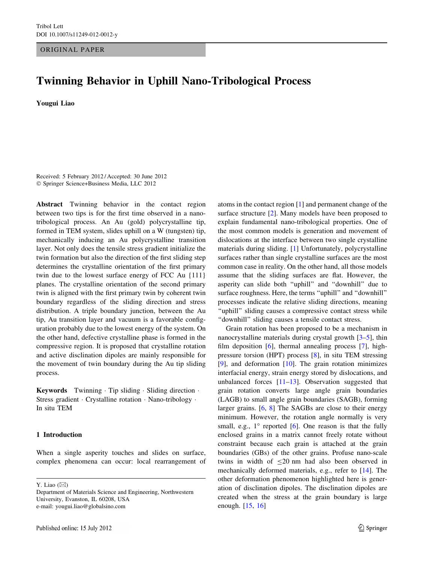ORIGINAL PAPER

# Twinning Behavior in Uphill Nano-Tribological Process

Yougui Liao

Received: 5 February 2012 / Accepted: 30 June 2012 - Springer Science+Business Media, LLC 2012

Abstract Twinning behavior in the contact region between two tips is for the first time observed in a nanotribological process. An Au (gold) polycrystalline tip, formed in TEM system, slides uphill on a W (tungsten) tip, mechanically inducing an Au polycrystalline transition layer. Not only does the tensile stress gradient initialize the twin formation but also the direction of the first sliding step determines the crystalline orientation of the first primary twin due to the lowest surface energy of FCC Au {111} planes. The crystalline orientation of the second primary twin is aligned with the first primary twin by coherent twin boundary regardless of the sliding direction and stress distribution. A triple boundary junction, between the Au tip, Au transition layer and vacuum is a favorable configuration probably due to the lowest energy of the system. On the other hand, defective crystalline phase is formed in the compressive region. It is proposed that crystalline rotation and active disclination dipoles are mainly responsible for the movement of twin boundary during the Au tip sliding process.

Keywords Twinning · Tip sliding · Sliding direction · Stress gradient · Crystalline rotation · Nano-tribology · In situ TEM

### 1 Introduction

When a single asperity touches and slides on surface, complex phenomena can occur: local rearrangement of

Y. Liao  $(\boxtimes)$ 

atoms in the contact region [\[1](#page-7-0)] and permanent change of the surface structure [[2\]](#page-7-0). Many models have been proposed to explain fundamental nano-tribological properties. One of the most common models is generation and movement of dislocations at the interface between two single crystalline materials during sliding. [\[1](#page-7-0)] Unfortunately, polycrystalline surfaces rather than single crystalline surfaces are the most common case in reality. On the other hand, all those models assume that the sliding surfaces are flat. However, the asperity can slide both ''uphill'' and ''downhill'' due to surface roughness. Here, the terms "uphill" and "downhill" processes indicate the relative sliding directions, meaning "uphill" sliding causes a compressive contact stress while ''downhill'' sliding causes a tensile contact stress.

Grain rotation has been proposed to be a mechanism in nanocrystalline materials during crystal growth [[3–5\]](#page-7-0), thin film deposition [\[6](#page-7-0)], thermal annealing process [[7\]](#page-7-0), highpressure torsion (HPT) process [[8\]](#page-7-0), in situ TEM stressing [\[9](#page-7-0)], and deformation [[10\]](#page-7-0). The grain rotation minimizes interfacial energy, strain energy stored by dislocations, and unbalanced forces  $[11-13]$ . Observation suggested that grain rotation converts large angle grain boundaries (LAGB) to small angle grain boundaries (SAGB), forming larger grains. [\[6](#page-7-0), [8](#page-7-0)] The SAGBs are close to their energy minimum. However, the rotation angle normally is very small, e.g.,  $1^\circ$  reported [[6\]](#page-7-0). One reason is that the fully enclosed grains in a matrix cannot freely rotate without constraint because each grain is attached at the grain boundaries (GBs) of the other grains. Profuse nano-scale twins in width of  $\leq$ 20 nm had also been observed in mechanically deformed materials, e.g., refer to [[14\]](#page-7-0). The other deformation phenomenon highlighted here is generation of disclination dipoles. The disclination dipoles are created when the stress at the grain boundary is large enough. [[15,](#page-7-0) [16](#page-7-0)]

Department of Materials Science and Engineering, Northwestern University, Evanston, IL 60208, USA e-mail: yougui.liao@globalsino.com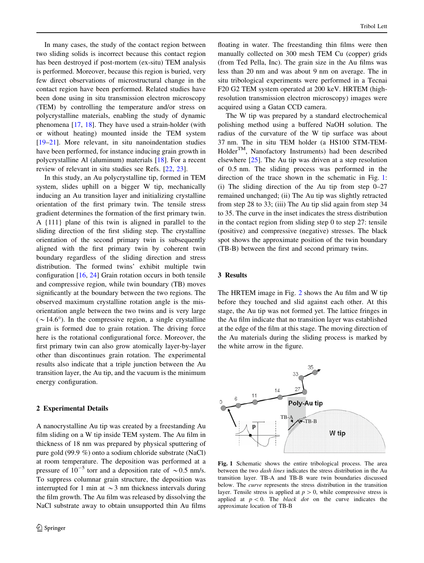<span id="page-1-0"></span>In many cases, the study of the contact region between two sliding solids is incorrect because this contact region has been destroyed if post-mortem (ex-situ) TEM analysis is performed. Moreover, because this region is buried, very few direct observations of microstructural change in the contact region have been performed. Related studies have been done using in situ transmission electron microscopy (TEM) by controlling the temperature and/or stress on polycrystalline materials, enabling the study of dynamic phenomena [[17,](#page-7-0) [18](#page-7-0)]. They have used a strain-holder (with or without heating) mounted inside the TEM system [\[19–21](#page-7-0)]. More relevant, in situ nanoindentation studies have been performed, for instance inducing grain growth in polycrystalline Al (aluminum) materials [[18\]](#page-7-0). For a recent review of relevant in situ studies see Refs. [\[22](#page-7-0), [23](#page-7-0)].

In this study, an Au polycrystalline tip, formed in TEM system, slides uphill on a bigger W tip, mechanically inducing an Au transition layer and initializing crystalline orientation of the first primary twin. The tensile stress gradient determines the formation of the first primary twin. A {111} plane of this twin is aligned in parallel to the sliding direction of the first sliding step. The crystalline orientation of the second primary twin is subsequently aligned with the first primary twin by coherent twin boundary regardless of the sliding direction and stress distribution. The formed twins' exhibit multiple twin configuration [[16,](#page-7-0) [24](#page-7-0)] Grain rotation occurs in both tensile and compressive region, while twin boundary (TB) moves significantly at the boundary between the two regions. The observed maximum crystalline rotation angle is the misorientation angle between the two twins and is very large  $({\sim}14.6^{\circ})$ . In the compressive region, a single crystalline grain is formed due to grain rotation. The driving force here is the rotational configurational force. Moreover, the first primary twin can also grow atomically layer-by-layer other than discontinues grain rotation. The experimental results also indicate that a triple junction between the Au transition layer, the Au tip, and the vacuum is the minimum energy configuration.

#### 2 Experimental Details

A nanocrystalline Au tip was created by a freestanding Au film sliding on a W tip inside TEM system. The Au film in thickness of 18 nm was prepared by physical sputtering of pure gold (99.9 %) onto a sodium chloride substrate (NaCl) at room temperature. The deposition was performed at a pressure of  $10^{-5}$  torr and a deposition rate of  $\sim 0.5$  nm/s. To suppress columnar grain structure, the deposition was interrupted for 1 min at  $\sim$  3 nm thickness intervals during the film growth. The Au film was released by dissolving the NaCl substrate away to obtain unsupported thin Au films

floating in water. The freestanding thin films were then manually collected on 300 mesh TEM Cu (copper) grids (from Ted Pella, Inc). The grain size in the Au films was less than 20 nm and was about 9 nm on average. The in situ tribological experiments were performed in a Tecnai F20 G2 TEM system operated at 200 keV. HRTEM (highresolution transmission electron microscopy) images were acquired using a Gatan CCD camera.

The W tip was prepared by a standard electrochemical polishing method using a buffered NaOH solution. The radius of the curvature of the W tip surface was about 37 nm. The in situ TEM holder (a HS100 STM-TEM-Holder<sup>TM</sup>, Nanofactory Instruments) had been described elsewhere [[25\]](#page-7-0). The Au tip was driven at a step resolution of 0.5 nm. The sliding process was performed in the direction of the trace shown in the schematic in Fig. 1: (i) The sliding direction of the Au tip from step  $0-27$ remained unchanged; (ii) The Au tip was slightly retracted from step 28 to 33; (iii) The Au tip slid again from step 34 to 35. The curve in the inset indicates the stress distribution in the contact region from sliding step 0 to step 27: tensile (positive) and compressive (negative) stresses. The black spot shows the approximate position of the twin boundary (TB-B) between the first and second primary twins.

### 3 Results

The HRTEM image in Fig. [2](#page-2-0) shows the Au film and W tip before they touched and slid against each other. At this stage, the Au tip was not formed yet. The lattice fringes in the Au film indicate that no transition layer was established at the edge of the film at this stage. The moving direction of the Au materials during the sliding process is marked by the white arrow in the figure.



Fig. 1 Schematic shows the entire tribological process. The area between the two dash lines indicates the stress distribution in the Au transition layer. TB-A and TB-B ware twin boundaries discussed below. The curve represents the stress distribution in the transition layer. Tensile stress is applied at  $p > 0$ , while compressive stress is applied at  $p < 0$ . The black dot on the curve indicates the approximate location of TB-B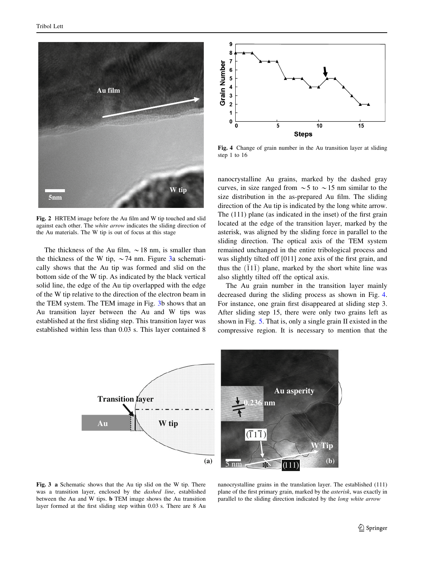<span id="page-2-0"></span>

Fig. 2 HRTEM image before the Au film and W tip touched and slid against each other. The white arrow indicates the sliding direction of the Au materials. The W tip is out of focus at this stage

The thickness of the Au film,  $\sim$  18 nm, is smaller than the thickness of the W tip,  $\sim$  74 nm. Figure 3a schematically shows that the Au tip was formed and slid on the bottom side of the W tip. As indicated by the black vertical solid line, the edge of the Au tip overlapped with the edge of the W tip relative to the direction of the electron beam in the TEM system. The TEM image in Fig. 3b shows that an Au transition layer between the Au and W tips was established at the first sliding step. This transition layer was established within less than 0.03 s. This layer contained 8



Fig. 4 Change of grain number in the Au transition layer at sliding step 1 to 16

nanocrystalline Au grains, marked by the dashed gray curves, in size ranged from  $\sim$  5 to  $\sim$  15 nm similar to the size distribution in the as-prepared Au film. The sliding direction of the Au tip is indicated by the long white arrow. The (111) plane (as indicated in the inset) of the first grain located at the edge of the transition layer, marked by the asterisk, was aligned by the sliding force in parallel to the sliding direction. The optical axis of the TEM system remained unchanged in the entire tribological process and was slightly tilted off [011] zone axis of the first grain, and thus the  $(\overline{1}1\overline{1})$  plane, marked by the short white line was also slightly tilted off the optical axis.

The Au grain number in the transition layer mainly decreased during the sliding process as shown in Fig. 4. For instance, one grain first disappeared at sliding step 3. After sliding step 15, there were only two grains left as shown in Fig. [5.](#page-3-0) That is, only a single grain II existed in the compressive region. It is necessary to mention that the



Fig. 3 a Schematic shows that the Au tip slid on the W tip. There was a transition layer, enclosed by the dashed line, established between the Au and W tips. b TEM image shows the Au transition layer formed at the first sliding step within 0.03 s. There are 8 Au

nanocrystalline grains in the translation layer. The established (111) plane of the first primary grain, marked by the asterisk, was exactly in parallel to the sliding direction indicated by the long white arrow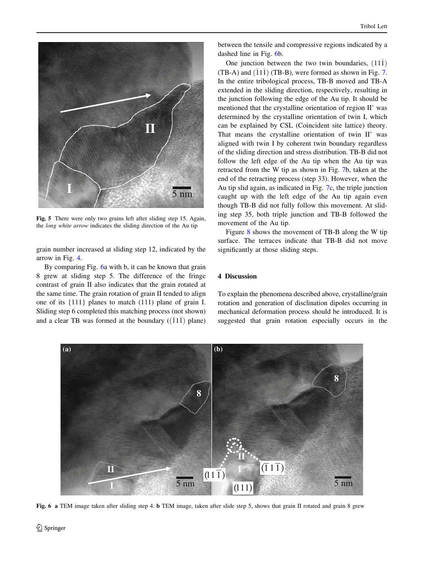<span id="page-3-0"></span>

Fig. 5 There were only two grains left after sliding step 15. Again, the long white arrow indicates the sliding direction of the Au tip

grain number increased at sliding step 12, indicated by the arrow in Fig. [4.](#page-2-0)

By comparing Fig. 6a with b, it can be known that grain 8 grew at sliding step 5. The difference of the fringe contrast of grain II also indicates that the grain rotated at the same time. The grain rotation of grain II tended to align one of its {111} planes to match (111) plane of grain I. Sliding step 6 completed this matching process (not shown) and a clear TB was formed at the boundary  $((\bar{1}1\bar{1})$  plane)

between the tensile and compressive regions indicated by a dashed line in Fig. 6b.

One junction between the two twin boundaries,  $(11\bar{1})$ (TB-A) and  $(\overline{1}1\overline{1})$  (TB-B), were formed as shown in Fig. [7.](#page-4-0) In the entire tribological process, TB-B moved and TB-A extended in the sliding direction, respectively, resulting in the junction following the edge of the Au tip. It should be mentioned that the crystalline orientation of region II' was determined by the crystalline orientation of twin I, which can be explained by CSL (Coincident site lattice) theory. That means the crystalline orientation of twin II' was aligned with twin I by coherent twin boundary regardless of the sliding direction and stress distribution. TB-B did not follow the left edge of the Au tip when the Au tip was retracted from the W tip as shown in Fig. [7b](#page-4-0), taken at the end of the retracting process (step 33). However, when the Au tip slid again, as indicated in Fig. [7](#page-4-0)c, the triple junction caught up with the left edge of the Au tip again even though TB-B did not fully follow this movement. At sliding step 35, both triple junction and TB-B followed the movement of the Au tip.

Figure [8](#page-4-0) shows the movement of TB-B along the W tip surface. The terraces indicate that TB-B did not move significantly at those sliding steps.

# 4 Discussion

To explain the phenomena described above, crystalline/grain rotation and generation of disclination dipoles occurring in mechanical deformation process should be introduced. It is suggested that grain rotation especially occurs in the



Fig. 6 a TEM image taken after sliding step 4. b TEM image, taken after slide step 5, shows that grain II rotated and grain 8 grew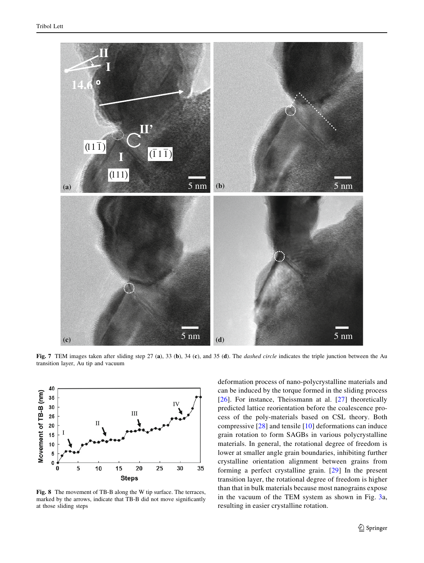<span id="page-4-0"></span>

Fig. 7 TEM images taken after sliding step 27 (a), 33 (b), 34 (c), and 35 (d). The *dashed circle* indicates the triple junction between the Au transition layer, Au tip and vacuum



Fig. 8 The movement of TB-B along the W tip surface. The terraces, marked by the arrows, indicate that TB-B did not move significantly at those sliding steps

deformation process of nano-polycrystalline materials and can be induced by the torque formed in the sliding process [[26\]](#page-7-0). For instance, Theissmann at al. [[27\]](#page-7-0) theoretically predicted lattice reorientation before the coalescence process of the poly-materials based on CSL theory. Both compressive [[28](#page-7-0)] and tensile [\[10\]](#page-7-0) deformations can induce grain rotation to form SAGBs in various polycrystalline materials. In general, the rotational degree of freedom is lower at smaller angle grain boundaries, inhibiting further crystalline orientation alignment between grains from forming a perfect crystalline grain. [[29](#page-7-0)] In the present transition layer, the rotational degree of freedom is higher than that in bulk materials because most nanograins expose in the vacuum of the TEM system as shown in Fig. [3](#page-2-0)a, resulting in easier crystalline rotation.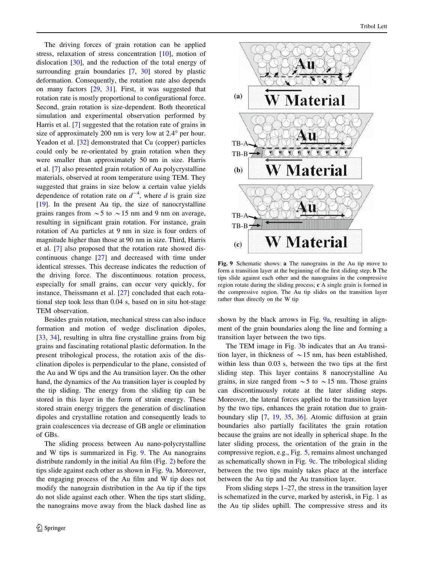The driving forces of grain rotation can be applied stress, relaxation of stress concentration [\[10](#page-7-0)], motion of dislocation [\[30](#page-8-0)], and the reduction of the total energy of surrounding grain boundaries [\[7](#page-7-0), [30\]](#page-8-0) stored by plastic deformation. Consequently, the rotation rate also depends on many factors [[29,](#page-7-0) [31\]](#page-8-0). First, it was suggested that rotation rate is mostly proportional to configurational force. Second, grain rotation is size-dependent. Both theoretical simulation and experimental observation performed by Harris et al. [[7\]](#page-7-0) suggested that the rotation rate of grains in size of approximately 200 nm is very low at  $2.4^\circ$  per hour. Yeadon et al. [[32\]](#page-8-0) demonstrated that Cu (copper) particles could only be re-orientated by grain rotation when they were smaller than approximately 50 nm in size. Harris et al. [[7\]](#page-7-0) also presented grain rotation of Au polycrystalline materials, observed at room temperature using TEM. They suggested that grains in size below a certain value yields dependence of rotation rate on  $d^{-4}$ , where d is grain size [\[19](#page-7-0)]. In the present Au tip, the size of nanocrystalline grains ranges from  $\sim$  5 to  $\sim$  15 nm and 9 nm on average, resulting in significant grain rotation. For instance, grain rotation of Au particles at 9 nm in size is four orders of magnitude higher than those at 90 nm in size. Third, Harris et al. [[7\]](#page-7-0) also proposed that the rotation rate showed discontinuous change [\[27](#page-7-0)] and decreased with time under identical stresses. This decrease indicates the reduction of the driving force. The discontinuous rotation process, especially for small grains, can occur very quickly, for instance, Theissmann et al. [[27\]](#page-7-0) concluded that each rotational step took less than 0.04 s, based on in situ hot-stage TEM observation.

Besides grain rotation, mechanical stress can also induce formation and motion of wedge disclination dipoles, [\[33](#page-8-0), [34](#page-8-0)], resulting in ultra fine crystalline grains from big grains and fascinating rotational plastic deformation. In the present tribological process, the rotation axis of the disclination dipoles is perpendicular to the plane, consisted of the Au and W tips and the Au transition layer. On the other hand, the dynamics of the Au transition layer is coupled by the tip sliding. The energy from the sliding tip can be stored in this layer in the form of strain energy. These stored strain energy triggers the generation of disclination dipoles and crystalline rotation and consequently leads to grain coalescences via decrease of GB angle or elimination of GBs.

The sliding process between Au nano-polycrystalline and W tips is summarized in Fig. 9. The Au nanograins distribute randomly in the initial Au film (Fig. [2](#page-2-0)) before the tips slide against each other as shown in Fig. 9a. Moreover, the engaging process of the Au film and W tip does not modify the nanograin distribution in the Au tip if the tips do not slide against each other. When the tips start sliding, the nanograins move away from the black dashed line as



Fig. 9 Schematic shows: a The nanograins in the Au tip move to form a transition layer at the beginning of the first sliding step; b The tips slide against each other and the nanograins in the compressive region rotate during the sliding process; c A single grain is formed in the compressive region. The Au tip slides on the transition layer rather than directly on the W tip

shown by the black arrows in Fig. 9a, resulting in alignment of the grain boundaries along the line and forming a transition layer between the two tips.

The TEM image in Fig. [3](#page-2-0)b indicates that an Au transition layer, in thickness of  $\sim$  15 nm, has been established, within less than 0.03 s, between the two tips at the first sliding step. This layer contains 8 nanocrystalline Au grains, in size ranged from  $\sim$  5 to  $\sim$  15 nm. Those grains can discontinuously rotate at the later sliding steps. Moreover, the lateral forces applied to the transition layer by the two tips, enhances the grain rotation due to grainboundary slip [[7,](#page-7-0) [19,](#page-7-0) [35,](#page-8-0) [36\]](#page-8-0). Atomic diffusion at grain boundaries also partially facilitates the grain rotation because the grains are not ideally in spherical shape. In the later sliding process, the orientation of the grain in the compressive region, e.g., Fig. [5,](#page-3-0) remains almost unchanged as schematically shown in Fig. 9c. The tribological sliding between the two tips mainly takes place at the interface between the Au tip and the Au transition layer.

From sliding steps 1–27, the stress in the transition layer is schematized in the curve, marked by asterisk, in Fig. [1](#page-1-0) as the Au tip slides uphill. The compressive stress and its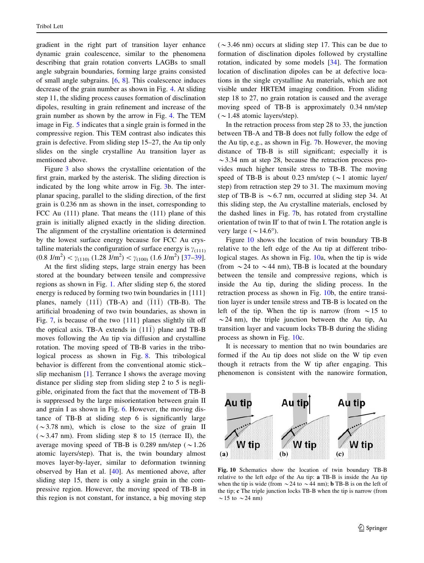gradient in the right part of transition layer enhance dynamic grain coalescence, similar to the phenomena describing that grain rotation converts LAGBs to small angle subgrain boundaries, forming large grains consisted of small angle subgrains. [[6,](#page-7-0) [8\]](#page-7-0). This coalescence induces decrease of the grain number as shown in Fig. [4](#page-2-0). At sliding step 11, the sliding process causes formation of disclination dipoles, resulting in grain refinement and increase of the grain number as shown by the arrow in Fig. [4.](#page-2-0) The TEM image in Fig. [5](#page-3-0) indicates that a single grain is formed in the compressive region. This TEM contrast also indicates this grain is defective. From sliding step 15–27, the Au tip only slides on the single crystalline Au transition layer as mentioned above.

Figure [3](#page-2-0) also shows the crystalline orientation of the first grain, marked by the asterisk. The sliding direction is indicated by the long white arrow in Fig. [3b](#page-2-0). The interplanar spacing, parallel to the sliding direction, of the first grain is 0.236 nm as shown in the inset, corresponding to FCC Au (111) plane. That means the (111) plane of this grain is initially aligned exactly in the sliding direction. The alignment of the crystalline orientation is determined by the lowest surface energy because for FCC Au crystalline materials the configuration of surface energy is  $\gamma_{(111)}$  $(0.8 \text{ J/m}^2) < \gamma_{(110)} (1.28 \text{ J/m}^2) < \gamma_{(100)} (1.6 \text{ J/m}^2) [37-39].$ 

At the first sliding steps, large strain energy has been stored at the boundary between tensile and compressive regions as shown in Fig. [1](#page-1-0). After sliding step 6, the stored energy is reduced by forming two twin boundaries in {111} planes, namely  $(11\bar{1})$  (TB-A) and  $(\bar{1}1\bar{1})$  (TB-B). The artificial broadening of two twin boundaries, as shown in Fig. [7](#page-4-0), is because of the two {111} planes slightly tilt off the optical axis. TB-A extends in  $(11\bar{1})$  plane and TB-B moves following the Au tip via diffusion and crystalline rotation. The moving speed of TB-B varies in the tribological process as shown in Fig. [8.](#page-4-0) This tribological behavior is different from the conventional atomic stick– slip mechanism [[1\]](#page-7-0). Terrance I shows the average moving distance per sliding step from sliding step 2 to 5 is negligible, originated from the fact that the movement of TB-B is suppressed by the large misorientation between grain II and grain I as shown in Fig. [6](#page-3-0). However, the moving distance of TB-B at sliding step 6 is significantly large  $({\sim}3.78 \text{ nm})$ , which is close to the size of grain II  $(\sim 3.47 \text{ nm})$ . From sliding step 8 to 15 (terrace II), the average moving speed of TB-B is 0.289 nm/step ( $\sim$ 1.26 atomic layers/step). That is, the twin boundary almost moves layer-by-layer, similar to deformation twinning observed by Han et al. [[40\]](#page-8-0). As mentioned above, after sliding step 15, there is only a single grain in the compressive region. However, the moving speed of TB-B in this region is not constant, for instance, a big moving step  $(\sim)3.46$  nm) occurs at sliding step 17. This can be due to formation of disclination dipoles followed by crystalline rotation, indicated by some models [[34\]](#page-8-0). The formation location of disclination dipoles can be at defective locations in the single crystalline Au materials, which are not visible under HRTEM imaging condition. From sliding step 18 to 27, no grain rotation is caused and the average moving speed of TB-B is approximately 0.34 nm/step  $(\sim 1.48$  atomic layers/step).

In the retraction process from step 28 to 33, the junction between TB-A and TB-B does not fully follow the edge of the Au tip, e.g., as shown in Fig. [7](#page-4-0)b. However, the moving distance of TB-B is still significant; especially it is  $\sim$  3.34 nm at step 28, because the retraction process provides much higher tensile stress to TB-B. The moving speed of TB-B is about 0.23 nm/step ( $\sim$  1 atomic layer/ step) from retraction step 29 to 31. The maximum moving step of TB-B is  $\sim 6.7$  nm, occurred at sliding step 34. At this sliding step, the Au crystalline materials, enclosed by the dashed lines in Fig. [7b](#page-4-0), has rotated from crystalline orientation of twin  $II'$  to that of twin I. The rotation angle is very large ( $\sim$  14.6°).

Figure 10 shows the location of twin boundary TB-B relative to the left edge of the Au tip at different tribological stages. As shown in Fig. 10a, when the tip is wide (from  $\sim$  24 to  $\sim$  44 nm), TB-B is located at the boundary between the tensile and compressive regions, which is inside the Au tip, during the sliding process. In the retraction process as shown in Fig. 10b, the entire transition layer is under tensile stress and TB-B is located on the left of the tip. When the tip is narrow (from  $\sim$  15 to  $\sim$  24 nm), the triple junction between the Au tip, Au transition layer and vacuum locks TB-B during the sliding process as shown in Fig. 10c.

It is necessary to mention that no twin boundaries are formed if the Au tip does not slide on the W tip even though it retracts from the W tip after engaging. This phenomenon is consistent with the nanowire formation,



Fig. 10 Schematics show the location of twin boundary TB-B relative to the left edge of the Au tip: a TB-B is inside the Au tip when the tip is wide (from  $\sim$  24 to  $\sim$  44 nm); **b** TB-B is on the left of the tip; c The triple junction locks TB-B when the tip is narrow (from  $\sim$  15 to  $\sim$  24 nm)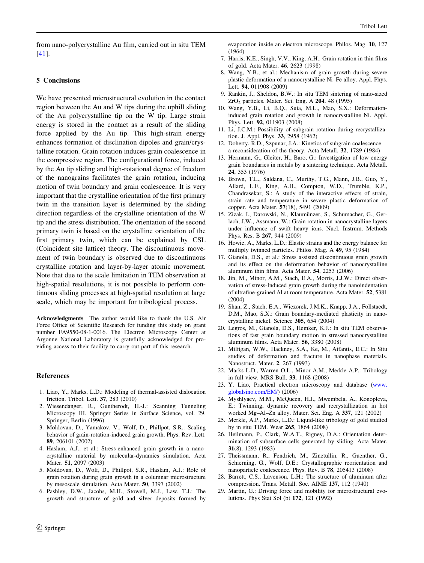<span id="page-7-0"></span>from nano-polycrystalline Au film, carried out in situ TEM [\[41](#page-8-0)].

## 5 Conclusions

We have presented microstructural evolution in the contact region between the Au and W tips during the uphill sliding of the Au polycrystalline tip on the W tip. Large strain energy is stored in the contact as a result of the sliding force applied by the Au tip. This high-strain energy enhances formation of disclination dipoles and grain/crystalline rotation. Grain rotation induces grain coalescence in the compressive region. The configurational force, induced by the Au tip sliding and high-rotational degree of freedom of the nanograins facilitates the grain rotation, inducing motion of twin boundary and grain coalescence. It is very important that the crystalline orientation of the first primary twin in the transition layer is determined by the sliding direction regardless of the crystalline orientation of the W tip and the stress distribution. The orientation of the second primary twin is based on the crystalline orientation of the first primary twin, which can be explained by CSL (Coincident site lattice) theory. The discontinuous movement of twin boundary is observed due to discontinuous crystalline rotation and layer-by-layer atomic movement. Note that due to the scale limitation in TEM observation at high-spatial resolutions, it is not possible to perform continuous sliding processes at high-spatial resolution at large scale, which may be important for tribological process.

Acknowledgments The author would like to thank the U.S. Air Force Office of Scientific Research for funding this study on grant number FA9550-08-1-0016. The Electron Microscopy Center at Argonne National Laboratory is gratefully acknowledged for providing access to their facility to carry out part of this research.

#### References

- 1. Liao, Y., Marks, L.D.: Modeling of thermal-assisted dislocation friction. Tribol. Lett. 37, 283 (2010)
- 2. Wiesendanger, R., Guntherodt, H.-J.: Scanning Tunneling Microscopy III. Springer Series in Surface Science, vol. 29. Springer, Berlin (1996)
- 3. Moldovan, D., Yamakov, V., Wolf, D., Phillpot, S.R.: Scaling behavior of grain-rotation-induced grain growth. Phys. Rev. Lett. 89, 206101 (2002)
- 4. Haslam, A.J., et al.: Stress-enhanced grain growth in a nanocrystalline material by molecular-dynamics simulation. Acta Mater. 51, 2097 (2003)
- 5. Moldovan, D., Wolf, D., Phillpot, S.R., Haslam, A.J.: Role of grain rotation during grain growth in a columnar microstructure by mesoscale simulation. Acta Mater. 50, 3397 (2002)
- 6. Pashley, D.W., Jacobs, M.H., Stowell, M.J., Law, T.J.: The growth and structure of gold and silver deposits formed by

evaporation inside an electron microscope. Philos. Mag. 10, 127 (1964)

- 7. Harris, K.E., Singh, V.V., King, A.H.: Grain rotation in thin films of gold. Acta Mater. 46, 2623 (1998)
- 8. Wang, Y.B., et al.: Mechanism of grain growth during severe plastic deformation of a nanocrystalline Ni–Fe alloy. Appl. Phys. Lett. 94, 011908 (2009)
- 9. Rankin, J., Sheldon, B.W.: In situ TEM sintering of nano-sized  $ZrO<sub>2</sub>$  particles. Mater. Sci. Eng. A  $204$ , 48 (1995)
- 10. Wang, Y.B., Li, B.Q., Suia, M.L., Mao, S.X.: Deformationinduced grain rotation and growth in nanocrystalline Ni. Appl. Phys. Lett. 92, 011903 (2008)
- 11. Li, J.C.M.: Possibility of subgrain rotation during recrystallization. J. Appl. Phys. 33, 2958 (1962)
- 12. Doherty, R.D., Szpunar, J.A.: Kinetics of subgrain coalescence a reconsideration of the theory. Acta Metall. 32, 1789 (1984)
- 13. Hermann, G., Gleiter, H., Baro, G.: Investigation of low energy grain boundaries in metals by a sintering technique. Acta Metall. 24, 353 (1976)
- 14. Brown, T.L., Saldana, C., Murthy, T.G., Mann, J.B., Guo, Y., Allard, L.F., King, A.H., Compton, W.D., Trumble, K.P., Chandrasekar, S.: A study of the interactive effects of strain, strain rate and temperature in severe plastic deformation of copper. Acta Mater. 57(18), 5491 (2009)
- 15. Zizak, I., Darowski, N., Klaumünzer, S., Schumacher, G., Gerlach, J.W., Assmann, W.: Grain rotation in nanocrystalline layers under influence of swift heavy ions. Nucl. Instrum. Methods Phys. Res. B 267, 944 (2009)
- 16. Howie, A., Marks, L.D.: Elastic strains and the energy balance for multiply twinned particles. Philos. Mag. A 49, 95 (1984)
- 17. Gianola, D.S., et al.: Stress assisted discontinuous grain growth and its effect on the deformation behavior of nanocrystalline aluminum thin films. Acta Mater. 54, 2253 (2006)
- 18. Jin, M., Minor, A.M., Stach, E.A., Morris, J.J.W.: Direct observation of stress-Induced grain growth during the nanoindentation of ultrafine-grained Al at room temperature. Acta Mater. 52, 5381 (2004)
- 19. Shan, Z., Stach, E.A., Wiezorek, J.M.K., Knapp, J.A., Follstaedt, D.M., Mao, S.X.: Grain boundary-mediated plasticity in nanocrystalline nickel. Science 305, 654 (2004)
- 20. Legros, M., Gianola, D.S., Hemker, K.J.: In situ TEM observations of fast grain boundary motion in stressed nanocrystalline aluminum films. Acta Mater. 56, 3380 (2008)
- 21. Milfigan, W.W., Hackney, S.A., Ke, M., Aifantis, E.C.: In Situ studies of deformation and fracture in nanophase materials. Nanostruct. Mater. 2, 267 (1993)
- 22. Marks L.D., Warren O.L., Minor A.M., Merkle A.P.: Tribology in full view. MRS Bull. 33, 1168 (2008)
- 23. Y. Liao, Practical electron microscopy and database ([www.](http://www.globalsino.com/EM/) [globalsino.com/EM/](http://www.globalsino.com/EM/)) (2006)
- 24. Myshlyaev, M.M., McQueen, H.J., Mwembela, A., Konopleva, E.: Twinning, dynamic recovery and recrystallization in hot worked Mg–Al–Zn alloy. Mater. Sci. Eng. A 337, 121 (2002)
- 25. Merkle, A.P., Marks, L.D.: Liquid-like tribology of gold studied by in situ TEM. Wear 265, 1864 (2008)
- 26. Heilmann, P., Clark, W.A.T., Rigney, D.A.: Orientation determination of subsurface cells generated by sliding. Acta Mater. 31(8), 1293 (1983)
- 27. Theissmann, R., Fendrich, M., Zinetullin, R., Guenther, G., Schierning, G., Wolf, D.E.: Crystallographic reorientation and nanoparticle coalescence. Phys. Rev. B 78, 205413 (2008)
- 28. Barrett, C.S., Lavenson, L.H.: The structure of aluminum after compression. Trans. Metall. Soc. AIME 137, 112 (1940)
- 29. Martin, G.: Driving force and mobility for microstructural evolutions. Phys Stat Sol (b) 172, 121 (1992)